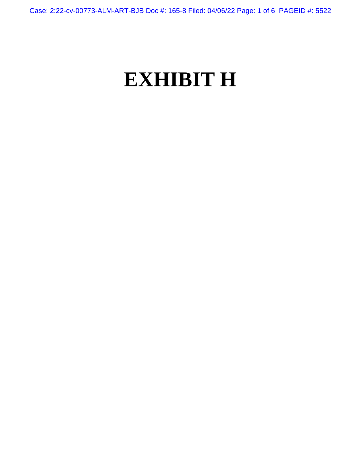Case: 2:22-cv-00773-ALM-ART-BJB Doc #: 165-8 Filed: 04/06/22 Page: 1 of 6 PAGEID #: 5522

# **EXHIBIT H**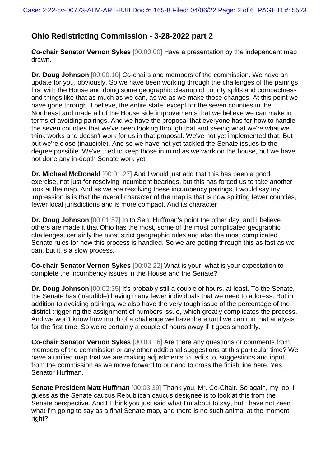# **Ohio Redistricting Commission - 3-28-2022 part 2**

**Co-chair Senator Vernon Sykes** [00:00:00] Have a presentation by the independent map drawn.

**Dr. Doug Johnson** [00:00:10] Co-chairs and members of the commission. We have an update for you, obviously. So we have been working through the challenges of the pairings first with the House and doing some geographic cleanup of county splits and compactness and things like that as much as we can, as we as we make those changes. At this point we have gone through, I believe, the entire state, except for the seven counties in the Northeast and made all of the House side improvements that we believe we can make in terms of avoiding pairings. And we have the proposal that everyone has for how to handle the seven counties that we've been looking through that and seeing what we're what we think works and doesn't work for us in that proposal. We've not yet implemented that. But but we're close (inaudible). And so we have not yet tackled the Senate issues to the degree possible. We've tried to keep those in mind as we work on the house, but we have not done any in-depth Senate work yet.

**Dr. Michael McDonald** [00:01:27] And I would just add that this has been a good exercise, not just for resolving incumbent bearings, but this has forced us to take another look at the map. And as we are resolving these incumbency pairings, I would say my impression is is that the overall character of the map is that is now splitting fewer counties, fewer local jurisdictions and is more compact. And its character

**Dr. Doug Johnson** [00:01:57] In to Sen. Huffman's point the other day, and I believe others are made it that Ohio has the most, some of the most complicated geographic challenges, certainly the most strict geographic rules and also the most complicated Senate rules for how this process is handled. So we are getting through this as fast as we can, but it is a slow process.

**Co-chair Senator Vernon Sykes** [00:02:22] What is your, what is your expectation to complete the incumbency issues in the House and the Senate?

**Dr. Doug Johnson** [00:02:35] It's probably still a couple of hours, at least. To the Senate, the Senate has (inaudible) having many fewer individuals that we need to address. But in addition to avoiding pairings, we also have the very tough issue of the percentage of the district triggering the assignment of numbers issue, which greatly complicates the process. And we won't know how much of a challenge we have there until we can run that analysis for the first time. So we're certainly a couple of hours away if it goes smoothly.

**Co-chair Senator Vernon Sykes** [00:03:16] Are there any questions or comments from members of the commission or any other additional suggestions at this particular time? We have a unified map that we are making adjustments to, edits to, suggestions and input from the commission as we move forward to our and to cross the finish line here. Yes, Senator Huffman.

**Senate President Matt Huffman** [00:03:39] Thank you, Mr. Co-Chair. So again, my job, I guess as the Senate caucus Republican caucus designee is to look at this from the Senate perspective. And I I think you just said what I'm about to say, but I have not seen what I'm going to say as a final Senate map, and there is no such animal at the moment, right?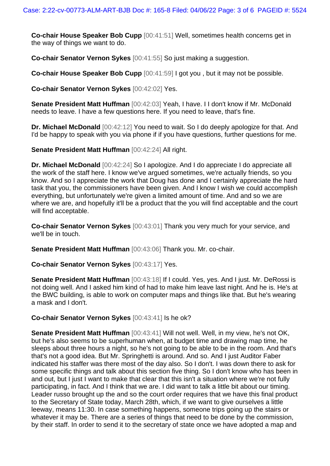**Co-chair House Speaker Bob Cupp** [00:41:51] Well, sometimes health concerns get in the way of things we want to do.

**Co-chair Senator Vernon Sykes** [00:41:55] So just making a suggestion.

**Co-chair House Speaker Bob Cupp** [00:41:59] I got you , but it may not be possible.

**Co-chair Senator Vernon Sykes** [00:42:02] Yes.

**Senate President Matt Huffman** [00:42:03] Yeah, I have. I I don't know if Mr. McDonald needs to leave. I have a few questions here. If you need to leave, that's fine.

**Dr. Michael McDonald** [00:42:12] You need to wait. So I do deeply apologize for that. And I'd be happy to speak with you via phone if if you have questions, further questions for me.

**Senate President Matt Huffman** [00:42:24] All right.

**Dr. Michael McDonald** [00:42:24] So I apologize. And I do appreciate I do appreciate all the work of the staff here. I know we've argued sometimes, we're actually friends, so you know. And so I appreciate the work that Doug has done and I certainly appreciate the hard task that you, the commissioners have been given. And I know I wish we could accomplish everything, but unfortunately we're given a limited amount of time. And and so we are where we are, and hopefully it'll be a product that the you will find acceptable and the court will find acceptable.

**Co-chair Senator Vernon Sykes** [00:43:01] Thank you very much for your service, and we'll be in touch.

**Senate President Matt Huffman** [00:43:06] Thank you. Mr. co-chair.

**Co-chair Senator Vernon Sykes** [00:43:17] Yes.

**Senate President Matt Huffman** [00:43:18] If I could. Yes, yes. And I just. Mr. DeRossi is not doing well. And I asked him kind of had to make him leave last night. And he is. He's at the BWC building, is able to work on computer maps and things like that. But he's wearing a mask and I don't.

# **Co-chair Senator Vernon Sykes** [00:43:41] Is he ok?

**Senate President Matt Huffman** [00:43:41] Will not well. Well, in my view, he's not OK, but he's also seems to be superhuman when, at budget time and drawing map time, he sleeps about three hours a night, so he's not going to be able to be in the room. And that's that's not a good idea. But Mr. Springhetti is around. And so. And I just Auditor Faber indicated his staffer was there most of the day also. So I don't. I was down there to ask for some specific things and talk about this section five thing. So I don't know who has been in and out, but I just I want to make that clear that this isn't a situation where we're not fully participating, in fact. And I think that we are. I did want to talk a little bit about our timing. Leader russo brought up the and so the court order requires that we have this final product to the Secretary of State today, March 28th, which, if we want to give ourselves a little leeway, means 11:30. In case something happens, someone trips going up the stairs or whatever it may be. There are a series of things that need to be done by the commission, by their staff. In order to send it to the secretary of state once we have adopted a map and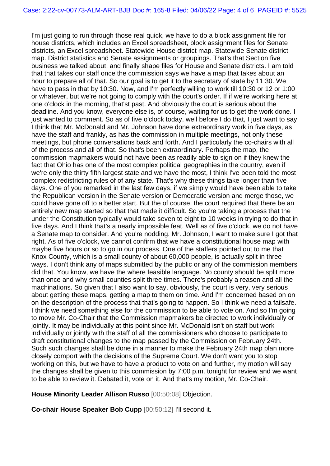I'm just going to run through those real quick, we have to do a block assignment file for house districts, which includes an Excel spreadsheet, block assignment files for Senate districts, an Excel spreadsheet. Statewide House district map. Statewide Senate district map. District statistics and Senate assignments or groupings. That's that Section five business we talked about, and finally shape files for House and Senate districts. I am told that that takes our staff once the commission says we have a map that takes about an hour to prepare all of that. So our goal is to get it to the secretary of state by 11:30. We have to pass in that by 10:30. Now, and I'm perfectly willing to work till 10:30 or 12 or 1:00 or whatever, but we're not going to comply with the court's order. If if we're working here at one o'clock in the morning, that'st past. And obviously the court is serious about the deadline. And you know, everyone else is, of course, waiting for us to get the work done. I just wanted to comment. So as of five o'clock today, well before I do that, I just want to say I think that Mr. McDonald and Mr. Johnson have done extraordinary work in five days, as have the staff and frankly, as has the commission in multiple meetings, not only these meetings, but phone conversations back and forth. And I particularly the co-chairs with all of the process and all of that. So that's been extraordinary. Perhaps the map, the commission mapmakers would not have been as readily able to sign on if they knew the fact that Ohio has one of the most complex political geographies in the country, even if we're only the thirty fifth largest state and we have the most, I think I've been told the most complex redistricting rules of of any state. That's why these things take longer than five days. One of you remarked in the last few days, if we simply would have been able to take the Republican version in the Senate version or Democratic version and merge those, we could have gone off to a better start. But the of course, the court required that there be an entirely new map started so that that made it difficult. So you're taking a process that the under the Constitution typically would take seven to eight to 10 weeks in trying to do that in five days. And I think that's a nearly impossible feat. Well as of five o'clock, we do not have a Senate map to consider. And you're nodding. Mr. Johnson, I want to make sure I got that right. As of five o'clock, we cannot confirm that we have a constitutional house map with maybe five hours or so to go in our process. One of the staffers pointed out to me that Knox County, which is a small county of about 60,000 people, is actually split in three ways. I don't think any of maps submitted by the public or any of the commission members did that. You know, we have the where feasible language. No county should be split more than once and why small counties split three times. There's probably a reason and all the machinations. So given that I also want to say, obviously, the court is very, very serious about getting these maps, getting a map to them on time. And I'm concerned based on on on the description of the process that that's going to happen. So I think we need a failsafe. I think we need something else for the commission to be able to vote on. And so I'm going to move Mr. Co-Chair that the Commission mapmakers be directed to work individually or jointly. It may be individually at this point since Mr. McDonald isn't on staff but work individually or jointly with the staff of all the commissioners who choose to participate to draft constitutional changes to the map passed by the Commission on February 24th. Such such changes shall be done in a manner to make the February 24th map plan more closely comport with the decisions of the Supreme Court. We don't want you to stop working on this, but we have to have a product to vote on and further, my motion will say the changes shall be given to this commission by 7:00 p.m. tonight for review and we want to be able to review it. Debated it, vote on it. And that's my motion, Mr. Co-Chair.

# **House Minority Leader Allison Russo** [00:50:08] Objection.

**Co-chair House Speaker Bob Cupp** [00:50:12] I'll second it.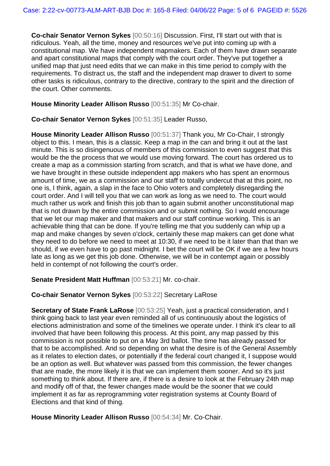**Co-chair Senator Vernon Sykes** [00:50:16] Discussion. First, I'll start out with that is ridiculous. Yeah, all the time, money and resources we've put into coming up with a constitutional map. We have independent mapmakers. Each of them have drawn separate and apart constitutional maps that comply with the court order. They've put together a unified map that just need edits that we can make in this time period to comply with the requirements. To distract us, the staff and the independent map drawer to divert to some other tasks is ridiculous, contrary to the directive, contrary to the spirit and the direction of the court. Other comments.

#### **House Minority Leader Allison Russo** [00:51:35] Mr Co-chair.

**Co-chair Senator Vernon Sykes** [00:51:35] Leader Russo,

**House Minority Leader Allison Russo** [00:51:37] Thank you, Mr Co-Chair, I strongly object to this. I mean, this is a classic. Keep a map in the can and bring it out at the last minute. This is so disingenuous of members of this commission to even suggest that this would be the the process that we would use moving forward. The court has ordered us to create a map as a commission starting from scratch, and that is what we have done, and we have brought in these outside independent app makers who has spent an enormous amount of time, we as a commission and our staff to totally undercut that at this point, no one is, I think, again, a slap in the face to Ohio voters and completely disregarding the court order. And I will tell you that we can work as long as we need to. The court would much rather us work and finish this job than to again submit another unconstitutional map that is not drawn by the entire commission and or submit nothing. So I would encourage that we let our map maker and that makers and our staff continue working. This is an achievable thing that can be done. If you're telling me that you suddenly can whip up a map and make changes by seven o'clock, certainly these map makers can get done what they need to do before we need to meet at 10:30, if we need to be it later than that than we should, if we even have to go past midnight. I bet the court will be OK if we are a few hours late as long as we get this job done. Otherwise, we will be in contempt again or possibly held in contempt of not following the court's order.

**Senate President Matt Huffman** [00:53:21] Mr. co-chair.

# **Co-chair Senator Vernon Sykes** [00:53:22] Secretary LaRose

**Secretary of State Frank LaRose** [00:53:25] Yeah, just a practical consideration, and I think going back to last year even reminded all of us continuously about the logistics of elections administration and some of the timelines we operate under. I think it's clear to all involved that have been following this process. At this point, any map passed by this commission is not possible to put on a May 3rd ballot. The time has already passed for that to be accomplished. And so depending on what the desire is of the General Assembly as it relates to election dates, or potentially if the federal court changed it, I suppose would be an option as well. But whatever was passed from this commission, the fewer changes that are made, the more likely it is that we can implement them sooner. And so it's just something to think about. If there are, if there is a desire to look at the February 24th map and modify off of that, the fewer changes made would be the sooner that we could implement it as far as reprogramming voter registration systems at County Board of Elections and that kind of thing.

**House Minority Leader Allison Russo** [00:54:34] Mr. Co-Chair.